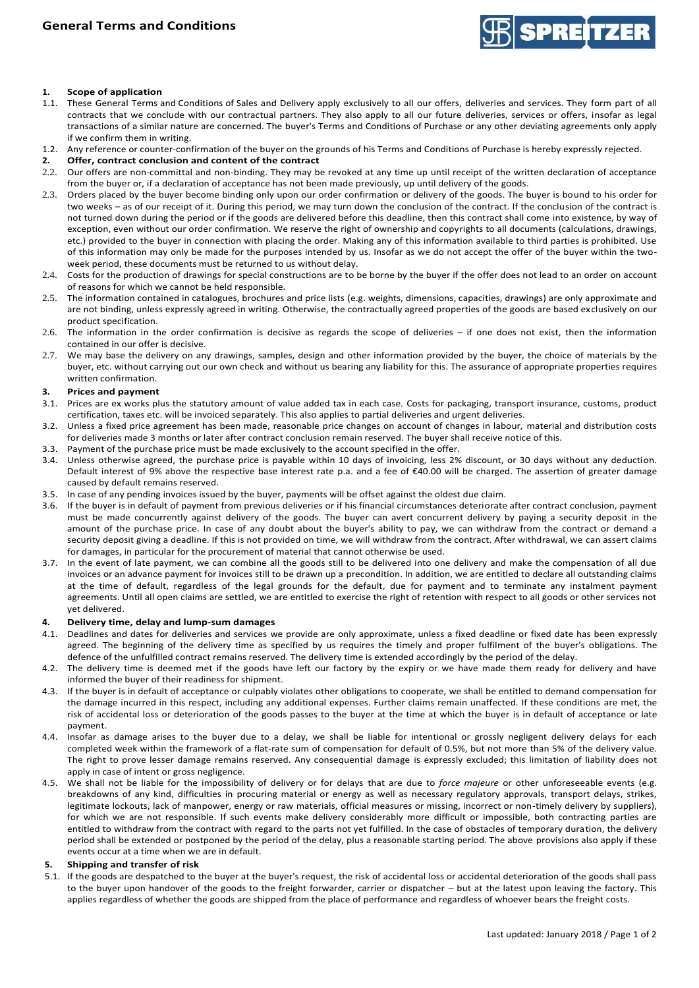

# **1. Scope of application**

- 1.1. These General Terms and Conditions of Sales and Delivery apply exclusively to all our offers, deliveries and services. They form part of all contracts that we conclude with our contractual partners. They also apply to all our future deliveries, services or offers, insofar as legal transactions of a similar nature are concerned. The buyer's Terms and Conditions of Purchase or any other deviating agreements only apply if we confirm them in writing.
- 1.2. Any reference or counter-confirmation of the buyer on the grounds of his Terms and Conditions of Purchase is hereby expressly rejected.<br>2. Offer. contract conclusion and content of the contract
- **2. Offer, contract conclusion and content of the contract**
- 2.2. Our offers are non-committal and non-binding. They may be revoked at any time up until receipt of the written declaration of acceptance from the buyer or, if a declaration of acceptance has not been made previously, up until delivery of the goods.
- 2.3. Orders placed by the buyer become binding only upon our order confirmation or delivery of the goods. The buyer is bound to his order for two weeks – as of our receipt of it. During this period, we may turn down the conclusion of the contract. If the conclusion of the contract is not turned down during the period or if the goods are delivered before this deadline, then this contract shall come into existence, by way of exception, even without our order confirmation. We reserve the right of ownership and copyrights to all documents (calculations, drawings, etc.) provided to the buyer in connection with placing the order. Making any of this information available to third parties is prohibited. Use of this information may only be made for the purposes intended by us. Insofar as we do not accept the offer of the buyer within the twoweek period, these documents must be returned to us without delay.
- 2.4. Costs for the production of drawings for special constructions are to be borne by the buyer if the offer does not lead to an order on account of reasons for which we cannot be held responsible.
- 2.5. The information contained in catalogues, brochures and price lists (e.g. weights, dimensions, capacities, drawings) are only approximate and are not binding, unless expressly agreed in writing. Otherwise, the contractually agreed properties of the goods are based exclusively on our product specification.
- 2.6. The information in the order confirmation is decisive as regards the scope of deliveries if one does not exist, then the information contained in our offer is decisive.
- 2.7. We may base the delivery on any drawings, samples, design and other information provided by the buyer, the choice of materials by the buyer, etc. without carrying out our own check and without us bearing any liability for this. The assurance of appropriate properties requires written confirmation.

### **3. Prices and payment**

- 3.1. Prices are ex works plus the statutory amount of value added tax in each case. Costs for packaging, transport insurance, customs, product certification, taxes etc. will be invoiced separately. This also applies to partial deliveries and urgent deliveries.
- 3.2. Unless a fixed price agreement has been made, reasonable price changes on account of changes in labour, material and distribution costs for deliveries made 3 months or later after contract conclusion remain reserved. The buyer shall receive notice of this.
- 3.3. Payment of the purchase price must be made exclusively to the account specified in the offer.
- 3.4. Unless otherwise agreed, the purchase price is payable within 10 days of invoicing, less 2% discount, or 30 days without any deduction. Default interest of 9% above the respective base interest rate p.a. and a fee of €40.00 will be charged. The assertion of greater damage caused by default remains reserved.
- 3.5. In case of any pending invoices issued by the buyer, payments will be offset against the oldest due claim.
- 3.6. If the buyer is in default of payment from previous deliveries or if his financial circumstances deteriorate after contract conclusion, payment must be made concurrently against delivery of the goods. The buyer can avert concurrent delivery by paying a security deposit in the amount of the purchase price. In case of any doubt about the buyer's ability to pay, we can withdraw from the contract or demand a security deposit giving a deadline. If this is not provided on time, we will withdraw from the contract. After withdrawal, we can assert claims for damages, in particular for the procurement of material that cannot otherwise be used.
- 3.7. In the event of late payment, we can combine all the goods still to be delivered into one delivery and make the compensation of all due invoices or an advance payment for invoices still to be drawn up a precondition. In addition, we are entitled to declare all outstanding claims at the time of default, regardless of the legal grounds for the default, due for payment and to terminate any instalment payment agreements. Until all open claims are settled, we are entitled to exercise the right of retention with respect to all goods or other services not yet delivered.

#### **4. Delivery time, delay and lump-sum damages**

- 4.1. Deadlines and dates for deliveries and services we provide are only approximate, unless a fixed deadline or fixed date has been expressly agreed. The beginning of the delivery time as specified by us requires the timely and proper fulfilment of the buyer's obligations. The defence of the unfulfilled contract remains reserved. The delivery time is extended accordingly by the period of the delay.
- 4.2. The delivery time is deemed met if the goods have left our factory by the expiry or we have made them ready for delivery and have informed the buyer of their readiness for shipment.
- 4.3. If the buyer is in default of acceptance or culpably violates other obligations to cooperate, we shall be entitled to demand compensation for the damage incurred in this respect, including any additional expenses. Further claims remain unaffected. If these conditions are met, the risk of accidental loss or deterioration of the goods passes to the buyer at the time at which the buyer is in default of acceptance or late payment.
- 4.4. Insofar as damage arises to the buyer due to a delay, we shall be liable for intentional or grossly negligent delivery delays for each completed week within the framework of a flat-rate sum of compensation for default of 0.5%, but not more than 5% of the delivery value. The right to prove lesser damage remains reserved. Any consequential damage is expressly excluded; this limitation of liability does not apply in case of intent or gross negligence.
- 4.5. We shall not be liable for the impossibility of delivery or for delays that are due to *force majeure* or other unforeseeable events (e.g. breakdowns of any kind, difficulties in procuring material or energy as well as necessary regulatory approvals, transport delays, strikes, legitimate lockouts, lack of manpower, energy or raw materials, official measures or missing, incorrect or non-timely delivery by suppliers), for which we are not responsible. If such events make delivery considerably more difficult or impossible, both contracting parties are entitled to withdraw from the contract with regard to the parts not yet fulfilled. In the case of obstacles of temporary duration, the delivery period shall be extended or postponed by the period of the delay, plus a reasonable starting period. The above provisions also apply if these events occur at a time when we are in default.

## **5. Shipping and transfer of risk**

5.1. If the goods are despatched to the buyer at the buyer's request, the risk of accidental loss or accidental deterioration of the goods shall pass to the buyer upon handover of the goods to the freight forwarder, carrier or dispatcher – but at the latest upon leaving the factory. This applies regardless of whether the goods are shipped from the place of performance and regardless of whoever bears the freight costs.